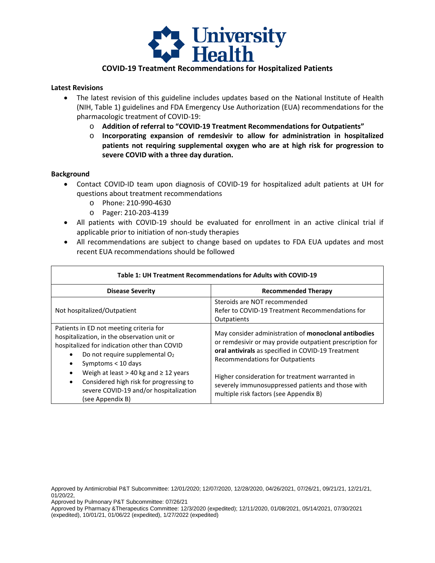

# **COVID-19 Treatment Recommendations for Hospitalized Patients**

#### **Latest Revisions**

- • The latest revision of this guideline includes updates based on the National Institute of Health (NIH, Table 1) guidelines and FDA Emergency Use Authorization (EUA) recommendations for the pharmacologic treatment of COVID-19:
	- o **Addition of referral to "COVID-19 Treatment Recommendations for Outpatients"**
	- **patients not requiring supplemental oxygen who are at high risk for progression to**  o **Incorporating expansion of remdesivir to allow for administration in hospitalized severe COVID with a three day duration.**

#### **Background**

- • Contact COVID-ID team upon diagnosis of COVID-19 for hospitalized adult patients at UH for questions about treatment recommendations
	- o Phone: 210-990-4630
	- o Pager: 210-203-4139
- All patients with COVID-19 should be evaluated for enrollment in an active clinical trial if applicable prior to initiation of non-study therapies
- • All recommendations are subject to change based on updates to FDA EUA updates and most recent EUA recommendations should be followed

| Table 1: UH Treatment Recommendations for Adults with COVID-19                                                                                                                                                                                             |                                                                                                                                                                                                                  |  |
|------------------------------------------------------------------------------------------------------------------------------------------------------------------------------------------------------------------------------------------------------------|------------------------------------------------------------------------------------------------------------------------------------------------------------------------------------------------------------------|--|
| <b>Disease Severity</b>                                                                                                                                                                                                                                    | <b>Recommended Therapy</b>                                                                                                                                                                                       |  |
| Not hospitalized/Outpatient                                                                                                                                                                                                                                | Steroids are NOT recommended<br>Refer to COVID-19 Treatment Recommendations for<br>Outpatients                                                                                                                   |  |
| Patients in ED not meeting criteria for<br>hospitalization, in the observation unit or<br>hospitalized for indication other than COVID<br>Do not require supplemental O <sub>2</sub><br>Symptoms < 10 days<br>Weigh at least $> 40$ kg and $\geq 12$ years | May consider administration of monoclonal antibodies<br>or remdesivir or may provide outpatient prescription for<br>oral antivirals as specified in COVID-19 Treatment<br><b>Recommendations for Outpatients</b> |  |
| Considered high risk for progressing to<br>$\bullet$<br>severe COVID-19 and/or hospitalization<br>(see Appendix B)                                                                                                                                         | Higher consideration for treatment warranted in<br>severely immunosuppressed patients and those with<br>multiple risk factors (see Appendix B)                                                                   |  |

Approved by Antimicrobial P&T Subcommittee: 12/01/2020; 12/07/2020, 12/28/2020, 04/26/2021, 07/26/21, 09/21/21, 12/21/21, 01/20/22,

Approved by Pulmonary P&T Subcommittee: 07/26/21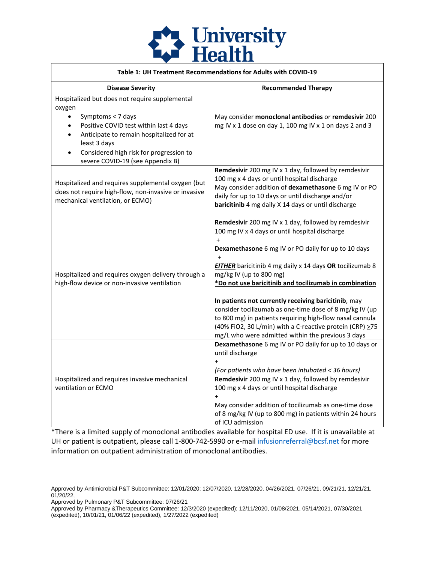

| Table 1: UH Treatment Recommendations for Adults with COVID-19                                                                                                                                                                                                                                                         |                                                                                                                                                                                                                                                                                                                                                                                                                                                                                                                                                                                                                                           |  |
|------------------------------------------------------------------------------------------------------------------------------------------------------------------------------------------------------------------------------------------------------------------------------------------------------------------------|-------------------------------------------------------------------------------------------------------------------------------------------------------------------------------------------------------------------------------------------------------------------------------------------------------------------------------------------------------------------------------------------------------------------------------------------------------------------------------------------------------------------------------------------------------------------------------------------------------------------------------------------|--|
| <b>Disease Severity</b>                                                                                                                                                                                                                                                                                                | <b>Recommended Therapy</b>                                                                                                                                                                                                                                                                                                                                                                                                                                                                                                                                                                                                                |  |
| Hospitalized but does not require supplemental<br>oxygen<br>Symptoms < 7 days<br>$\bullet$<br>Positive COVID test within last 4 days<br>$\bullet$<br>Anticipate to remain hospitalized for at<br>$\bullet$<br>least 3 days<br>Considered high risk for progression to<br>$\bullet$<br>severe COVID-19 (see Appendix B) | May consider monoclonal antibodies or remdesivir 200<br>mg IV x 1 dose on day 1, 100 mg IV x 1 on days 2 and 3                                                                                                                                                                                                                                                                                                                                                                                                                                                                                                                            |  |
| Hospitalized and requires supplemental oxygen (but<br>does not require high-flow, non-invasive or invasive<br>mechanical ventilation, or ECMO)                                                                                                                                                                         | Remdesivir 200 mg IV x 1 day, followed by remdesivir<br>100 mg x 4 days or until hospital discharge<br>May consider addition of dexamethasone 6 mg IV or PO<br>daily for up to 10 days or until discharge and/or<br>baricitinib 4 mg daily X 14 days or until discharge                                                                                                                                                                                                                                                                                                                                                                   |  |
| Hospitalized and requires oxygen delivery through a<br>high-flow device or non-invasive ventilation                                                                                                                                                                                                                    | Remdesivir 200 mg IV x 1 day, followed by remdesivir<br>100 mg IV x 4 days or until hospital discharge<br>$+$<br>Dexamethasone 6 mg IV or PO daily for up to 10 days<br>$\ddot{}$<br><b>EITHER</b> baricitinib 4 mg daily x 14 days OR tocilizumab 8<br>mg/kg IV (up to 800 mg)<br>*Do not use baricitinib and tocilizumab in combination<br>In patients not currently receiving baricitinib, may<br>consider tocilizumab as one-time dose of 8 mg/kg IV (up<br>to 800 mg) in patients requiring high-flow nasal cannula<br>(40% FiO2, 30 L/min) with a C-reactive protein (CRP) >75<br>mg/L who were admitted within the previous 3 days |  |
| Hospitalized and requires invasive mechanical<br>ventilation or ECMO                                                                                                                                                                                                                                                   | Dexamethasone 6 mg IV or PO daily for up to 10 days or<br>until discharge<br>$\overline{+}$<br>(For patients who have been intubated < 36 hours)<br>Remdesivir 200 mg IV x 1 day, followed by remdesivir<br>100 mg x 4 days or until hospital discharge<br>$\overline{+}$<br>May consider addition of tocilizumab as one-time dose<br>of 8 mg/kg IV (up to 800 mg) in patients within 24 hours<br>of ICU admission                                                                                                                                                                                                                        |  |

\*There is a limited supply of monoclonal antibodies available for hospital ED use. If it is unavailable at UH or patient is outpatient, please call 1-800-742-5990 or e-mai[l infusionreferral@bcsf.net](mailto:infusionreferral@bcsf.net) for more information on outpatient administration of monoclonal antibodies.

- Approved by Pulmonary P&T Subcommittee: 07/26/21
- (expedited), 10/01/21, 01/06/22 (expedited), 1/27/2022 (expedited) Approved by Pharmacy &Therapeutics Committee: 12/3/2020 (expedited); 12/11/2020, 01/08/2021, 05/14/2021, 07/30/2021

Approved by Antimicrobial P&T Subcommittee: 12/01/2020; 12/07/2020, 12/28/2020, 04/26/2021, 07/26/21, 09/21/21, 12/21/21, 01/20/22,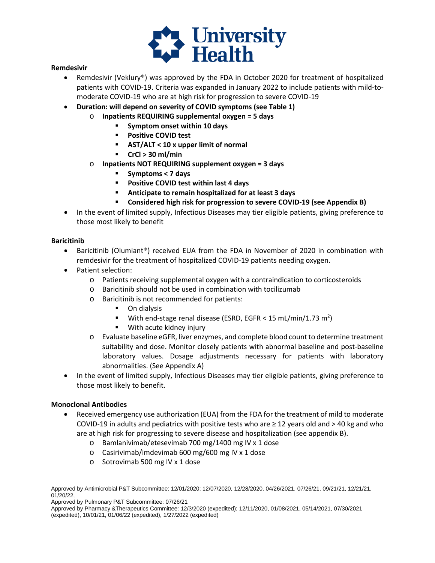

#### **Remdesivir**

- • Remdesivir (Veklury®) was approved by the FDA in October 2020 for treatment of hospitalized patients with COVID-19. Criteria was expanded in January 2022 to include patients with mild-tomoderate COVID-19 who are at high risk for progression to severe COVID-19
- **Duration: will depend on severity of COVID symptoms (see Table 1)** 
	- o **Inpatients REQUIRING supplemental oxygen = 5 days** 
		- **Symptom onset within 10 days**
		- **Positive COVID test**
		- **AST/ALT < 10 x upper limit of normal**
		- **CrCl > 30 ml/min**
	- o **Inpatients NOT REQUIRING supplement oxygen = 3 days** 
		- **Symptoms < 7 days**
		- **Positive COVID test within last 4 days**
		- **Anticipate to remain hospitalized for at least 3 days**
		- **Considered high risk for progression to severe COVID-19 (see Appendix B)**
- • In the event of limited supply, Infectious Diseases may tier eligible patients, giving preference to those most likely to benefit

#### **Baricitinib**

- • Baricitinib (Olumiant®) received EUA from the FDA in November of 2020 in combination with remdesivir for the treatment of hospitalized COVID-19 patients needing oxygen.
- Patient selection:
	- o Patients receiving supplemental oxygen with a contraindication to corticosteroids
	- o Baricitinib should not be used in combination with tocilizumab
	- o Baricitinib is not recommended for patients:
		- **D** On dialysis
		- **With end-stage renal disease (ESRD, EGFR < 15 [mL/min/1.73](https://mL/min/1.73) m<sup>2</sup>)**
		- **With acute kidney injury**
	- o Evaluate baseline eGFR, liver enzymes, and complete blood count to determine treatment suitability and dose. Monitor closely patients with abnormal baseline and post-baseline laboratory values. Dosage adjustments necessary for patients with laboratory abnormalities. (See Appendix A)
- • In the event of limited supply, Infectious Diseases may tier eligible patients, giving preference to those most likely to benefit.

## **Monoclonal Antibodies**

- COVID-19 in adults and pediatrics with positive tests who are ≥ 12 years old and > 40 kg and who are at high risk for progressing to severe disease and hospitalization (see appendix B). Received emergency use authorization (EUA) from the FDA for the treatment of mild to moderate
	- o Bamlanivimab/etesevimab 700 mg/1400 mg IV x 1 dose
	- o Casirivimab/imdevimab 600 mg/600 mg IV x 1 dose
	- o Sotrovimab 500 mg IV x 1 dose

Approved by Antimicrobial P&T Subcommittee: 12/01/2020; 12/07/2020, 12/28/2020, 04/26/2021, 07/26/21, 09/21/21, 12/21/21, 01/20/22,

Approved by Pulmonary P&T Subcommittee: 07/26/21

 (expedited), 10/01/21, 01/06/22 (expedited), 1/27/2022 (expedited) Approved by Pharmacy &Therapeutics Committee: 12/3/2020 (expedited); 12/11/2020, 01/08/2021, 05/14/2021, 07/30/2021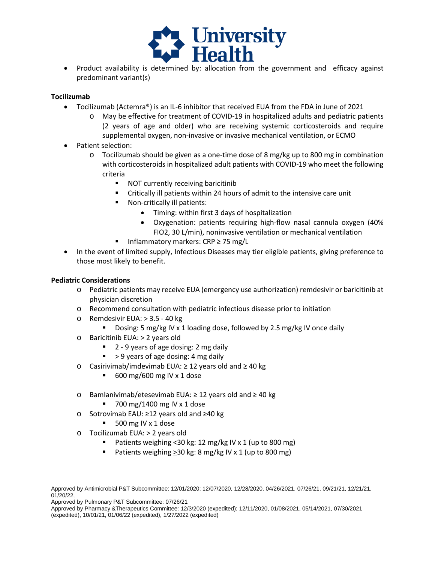

• Product availability is determined by: allocation from the government and efficacy against predominant variant(s)

# **Tocilizumab**

- Tocilizumab (Actemra®) is an IL-6 inhibitor that received EUA from the FDA in June of 2021
	- (2 years of age and older) who are receiving systemic corticosteroids and require o May be effective for treatment of COVID-19 in hospitalized adults and pediatric patients supplemental oxygen, non-invasive or invasive mechanical ventilation, or ECMO
- Patient selection:
	- o Tocilizumab should be given as a one-time dose of 8 mg/kg up to 800 mg in combination with corticosteroids in hospitalized adult patients with COVID-19 who meet the following criteria
		- **NOT currently receiving baricitinib**
		- Critically ill patients within 24 hours of admit to the intensive care unit
		- Non-critically ill patients:
			- Timing: within first 3 days of hospitalization
			- FIO2, 30 L/min), noninvasive ventilation or mechanical ventilation • Oxygenation: patients requiring high-flow nasal cannula oxygen (40%
		- Inflammatory markers: CRP ≥ 75 mg/L
- • In the event of limited supply, Infectious Diseases may tier eligible patients, giving preference to those most likely to benefit.

## **Pediatric Considerations**

- o Pediatric patients may receive EUA (emergency use authorization) remdesivir or baricitinib at physician discretion
- o Recommend consultation with pediatric infectious disease prior to initiation
- o Remdesivir EUA: > 3.5 40 kg
	- **Dosing: 5 mg/kg IV x 1 loading dose, followed by 2.5 mg/kg IV once daily**
- o Baricitinib EUA: > 2 years old
	- 2 9 years of age dosing: 2 mg daily
	- > 9 years of age dosing: 4 mg daily
- o Casirivimab/imdevimab EUA: ≥ 12 years old and ≥ 40 kg
	- $\blacksquare$  600 mg/600 mg IV x 1 dose
- o Bamlanivimab/etesevimab EUA: ≥ 12 years old and ≥ 40 kg
	- $\blacksquare$  700 mg/1400 mg IV x 1 dose
- o Sotrovimab EAU: ≥12 years old and ≥40 kg
	- $\blacksquare$  500 mg IV x 1 dose
- o Tocilizumab EUA: > 2 years old
	- Patients weighing <30 kg: 12 mg/kg IV x 1 (up to 800 mg)
	- Patients weighing  $\geq$  30 kg: 8 mg/kg IV x 1 (up to 800 mg)

Approved by Antimicrobial P&T Subcommittee: 12/01/2020; 12/07/2020, 12/28/2020, 04/26/2021, 07/26/21, 09/21/21, 12/21/21, 01/20/22,

Approved by Pulmonary P&T Subcommittee: 07/26/21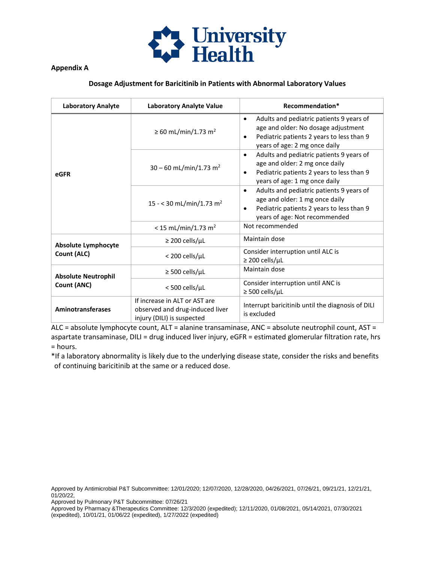

# **Appendix A**

# **Dosage Adjustment for Baricitinib in Patients with Abnormal Laboratory Values**

| <b>Laboratory Analyte</b>                 | <b>Laboratory Analyte Value</b>                                                                | Recommendation*                                                                                                                                                                         |
|-------------------------------------------|------------------------------------------------------------------------------------------------|-----------------------------------------------------------------------------------------------------------------------------------------------------------------------------------------|
| eGFR                                      | ≥ 60 mL/min/1.73 m <sup>2</sup>                                                                | Adults and pediatric patients 9 years of<br>$\bullet$<br>age and older: No dosage adjustment<br>Pediatric patients 2 years to less than 9<br>$\bullet$<br>years of age: 2 mg once daily |
|                                           | $30 - 60$ mL/min/1.73 m <sup>2</sup>                                                           | Adults and pediatric patients 9 years of<br>$\bullet$<br>age and older: 2 mg once daily<br>Pediatric patients 2 years to less than 9<br>$\bullet$<br>years of age: 1 mg once daily      |
|                                           | 15 - < 30 mL/min/1.73 m <sup>2</sup>                                                           | Adults and pediatric patients 9 years of<br>$\bullet$<br>age and older: 1 mg once daily<br>Pediatric patients 2 years to less than 9<br>$\bullet$<br>years of age: Not recommended      |
|                                           | < 15 mL/min/1.73 m <sup>2</sup>                                                                | Not recommended                                                                                                                                                                         |
| <b>Absolute Lymphocyte</b><br>Count (ALC) | $\geq$ 200 cells/ $\mu$ L                                                                      | Maintain dose                                                                                                                                                                           |
|                                           | < 200 cells/µL                                                                                 | Consider interruption until ALC is<br>$\geq$ 200 cells/µL                                                                                                                               |
| <b>Absolute Neutrophil</b><br>Count (ANC) | $\geq$ 500 cells/µL                                                                            | Maintain dose                                                                                                                                                                           |
|                                           | <500 cells/µL                                                                                  | Consider interruption until ANC is<br>$\geq$ 500 cells/µL                                                                                                                               |
| <b>Aminotransferases</b>                  | If increase in ALT or AST are<br>observed and drug-induced liver<br>injury (DILI) is suspected | Interrupt baricitinib until the diagnosis of DILI<br>is excluded                                                                                                                        |

ALC = absolute lymphocyte count, ALT = alanine transaminase, ANC = absolute neutrophil count, AST = aspartate transaminase, DILI = drug induced liver injury, eGFR = estimated glomerular filtration rate, hrs = hours.

 of continuing baricitinib at the same or a reduced dose. \*If a laboratory abnormality is likely due to the underlying disease state, consider the risks and benefits

Approved by Antimicrobial P&T Subcommittee: 12/01/2020; 12/07/2020, 12/28/2020, 04/26/2021, 07/26/21, 09/21/21, 12/21/21, 01/20/22,

Approved by Pulmonary P&T Subcommittee: 07/26/21